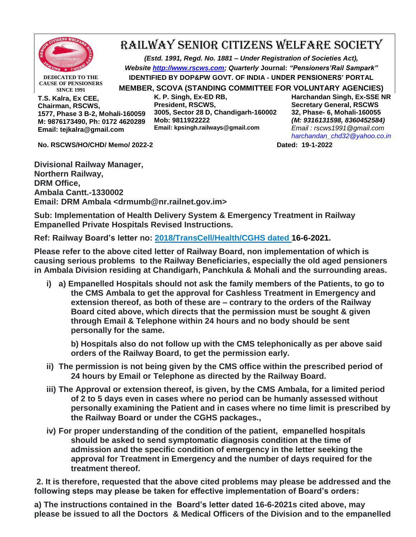

## RAILWAY SENIOR CITIZENS WELFARE SOCIETY

*(Estd. 1991, Regd. No. 1881 – Under Registration of Societies Act), Website [http://www.rscws.com;](http://www.rscws.com/) Quarterly* **Journal:** *"Pensioners'Rail Sampark"* **IDENTIFIED BY DOP&PW GOVT. OF INDIA - UNDER PENSIONERS' PORTAL** 

**DEDICATED TO THE CAUSE OF PENSIONERS SINCE 1991**

**T.S. Kalra, Ex CEE, Chairman, RSCWS, 1577, Phase 3 B-2, Mohali-160059 M: 9876173490, Ph: 0172 4620289 Email: tejkalra@gmail.com**

**K. P. Singh, Ex-ED RB, President, RSCWS, 3005, Sector 28 D, Chandigarh-160002 Mob: 9811922222 Email: kpsingh.railways@gmail.com**

**MEMBER, SCOVA (STANDING COMMITTEE FOR VOLUNTARY AGENCIES) Harchandan Singh, Ex-SSE NR Secretary General, RSCWS 32, Phase- 6, Mohali-160055** *(M: 9316131598, 8360452584) Email : rscws1991@gmail.com [harchandan\\_chd32@yahoo.co.in](mailto:harchandan_chd32@yahoo.co.in)*

**No. RSCWS/HO/CHD/ Memo/ 2022-2 Dated: 19-1-2022**

**Divisional Railway Manager, Northern Railway, DRM Office, Ambala Cantt.-1330002 Email: DRM Ambala <drmumb@nr.railnet.gov.im>**

**Sub: Implementation of Health Delivery System & Emergency Treatment in Railway Empanelled Private Hospitals Revised Instructions.**

**Ref: Railway Board's letter no: [2018/TransCell/Health/CGHS dated 1](https://www.gconnect.in/orders-in-brief/railways-orders-in-brief/emergency-treatment-railway-hospitals.html)6-6-2021.**

**Please refer to the above cited letter of Railway Board, non implementation of which is causing serious problems to the Railway Beneficiaries, especially the old aged pensioners in Ambala Division residing at Chandigarh, Panchkula & Mohali and the surrounding areas.**

**i) a) Empanelled Hospitals should not ask the family members of the Patients, to go to the CMS Ambala to get the approval for Cashless Treatment in Emergency and extension thereof, as both of these are – contrary to the orders of the Railway Board cited above, which directs that the permission must be sought & given through Email & Telephone within 24 hours and no body should be sent personally for the same.**

**b) Hospitals also do not follow up with the CMS telephonically as per above said orders of the Railway Board, to get the permission early.**

- **ii) The permission is not being given by the CMS office within the prescribed period of 24 hours by Email or Telephone as directed by the Railway Board.**
- **iii) The Approval or extension thereof, is given, by the CMS Ambala, for a limited period of 2 to 5 days even in cases where no period can be humanly assessed without personally examining the Patient and in cases where no time limit is prescribed by the Railway Board or under the CGHS packages.,**
- **iv) For proper understanding of the condition of the patient, empanelled hospitals should be asked to send symptomatic diagnosis condition at the time of admission and the specific condition of emergency in the letter seeking the approval for Treatment in Emergency and the number of days required for the treatment thereof.**

**2. It is therefore, requested that the above cited problems may please be addressed and the following steps may please be taken for effective implementation of Board's orders:**

**a) The instructions contained in the Board's letter dated 16-6-2021s cited above, may please be issued to all the Doctors & Medical Officers of the Division and to the empanelled**